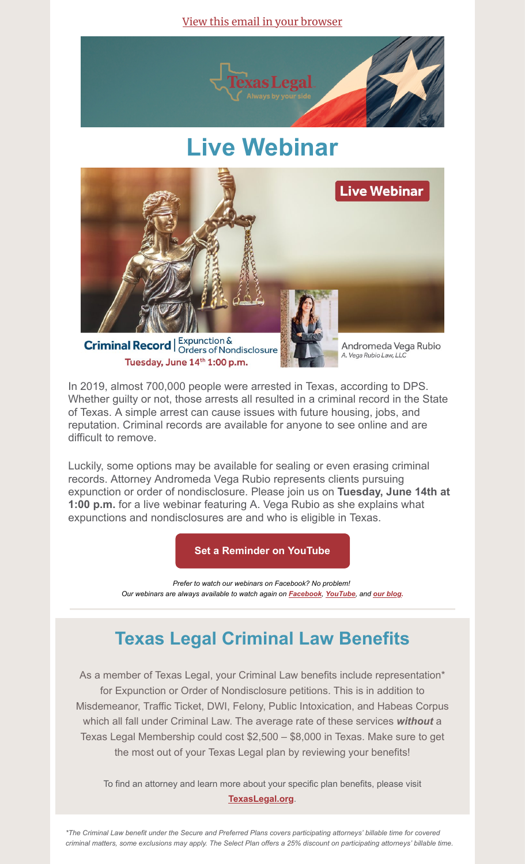View this email in your [browser](https://mailchi.mp/texaslegal/june-2022-member-newsletter?e=[UNIQID])



# **Live Webinar**



**Criminal Record** | Expunction & Criminal Record | Orders of Nondisclosure Tuesday, June 14th 1:00 p.m.

Andromeda Vega Rubio A. Vega Rubio Law, LLC

In 2019, almost 700,000 people were arrested in Texas, according to DPS. Whether guilty or not, those arrests all resulted in a criminal record in the State of Texas. A simple arrest can cause issues with future housing, jobs, and reputation. Criminal records are available for anyone to see online and are difficult to remove.

Luckily, some options may be available for sealing or even erasing criminal records. Attorney Andromeda Vega Rubio represents clients pursuing expunction or order of nondisclosure. Please join us on **Tuesday, June 14th at 1:00 p.m.** for a live webinar featuring A. Vega Rubio as she explains what expunctions and nondisclosures are and who is eligible in Texas.

**[Set a Reminder on YouTube](https://youtu.be/1GaAHq7MtxA)**

*Prefer to watch our webinars on Facebook? No problem! Our webinars are always available to watch again on [Facebook](https://www.facebook.com/TexasLegalTL/), [YouTube](https://www.youtube.com/channel/UCydPfOfyROHnXr8L39p9t9A), and [our blog](https://texaslegal.org/about-us/blog).*

# **Texas Legal Criminal Law Benefits**

As a member of Texas Legal, your Criminal Law benefits include representation\* for Expunction or Order of Nondisclosure petitions. This is in addition to Misdemeanor, Traffic Ticket, DWI, Felony, Public Intoxication, and Habeas Corpus which all fall under Criminal Law. The average rate of these services *without* a Texas Legal Membership could cost \$2,500 – \$8,000 in Texas. Make sure to get the most out of your Texas Legal plan by reviewing your benefits!

To find an attorney and learn more about your specific plan benefits, please visit **[TexasLegal.org](https://texaslegal.org/?utm_source=mailchimp&utm_medium=member&utm_id=sept)**.

*\*The Criminal Law benefit under the Secure and Preferred Plans covers participating attorneys' billable time for covered criminal matters, some exclusions may apply. The Select Plan offers a 25% discount on participating attorneys' billable time.*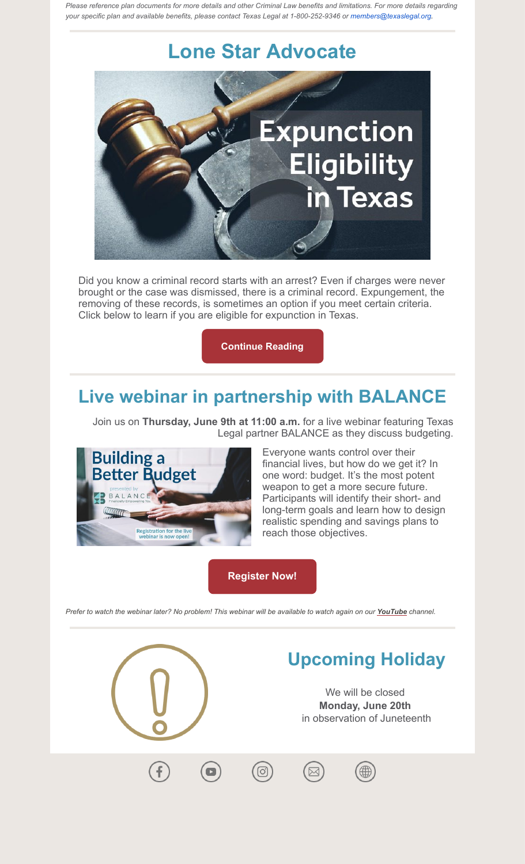*Please reference plan documents for more details and other Criminal Law benefits and limitations. For more details regarding your specific plan and available benefits, please contact Texas Legal at 1-800-252-9346 or members@texaslegal.org.*

## **Lone Star Advocate**



Did you know a criminal record starts with an arrest? Even if charges were never brought or the case was dismissed, there is a criminal record. Expungement, the removing of these records, is sometimes an option if you meet certain criteria. Click below to learn if you are eligible for expunction in Texas.

#### **[Continue Reading](https://texaslegal.org/texaslegal-blog/expunction-eligibility-in-texas)**

### **Live webinar in partnership with BALANCE**

Join us on **Thursday, June 9th at 11:00 a.m.** for a live webinar featuring Texas Legal partner BALANCE as they discuss budgeting.



Everyone wants control over their financial lives, but how do we get it? In one word: budget. It's the most potent weapon to get a more secure future. Participants will identify their short- and long-term goals and learn how to design realistic spending and savings plans to reach those objectives.

#### **[Register Now!](https://register.gotowebinar.com/register/5013483173756090127)**

*Prefer to watch the webinar later? No problem! This webinar will be available to watch again on our [YouTube](https://www.youtube.com/channel/UCydPfOfyROHnXr8L39p9t9A) channel.*